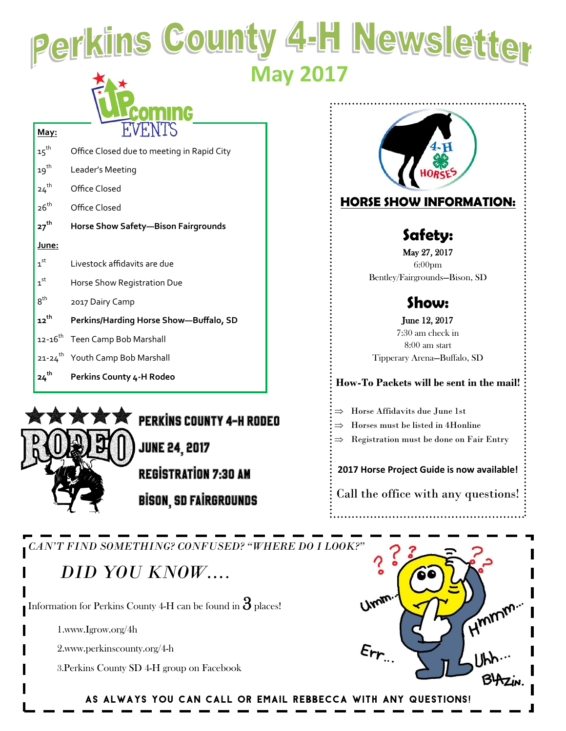Perkins County 4-H Newsletter  **May 2017**

15<sup>th</sup> Office Closed due to meeting in Rapid City 19<sup>th</sup> Leader's Meeting 24<sup>th</sup> Office Closed 26<sup>th</sup> Office Closed **27th Horse Show Safety—Bison Fairgrounds June:**  $1<sup>st</sup>$ Livestock affidavits are due  $1<sup>st</sup>$ Horse Show Registration Due  $8^{\text{th}}$ 2017 Dairy Camp **12th Perkins/Harding Horse Show—Buffalo, SD** 12-16<sup>th</sup> Teen Camp Bob Marshall 21-24<sup>th</sup> Youth Camp Bob Marshall **24th Perkins County 4-H Rodeo**



**PERKINS COUNTY 4-H RODEO JUNE 24, 2017** 

**REGISTRATION 7:30 AM BISON, SD FAIRGROUNDS** 



**How-To Packets will be sent in the mail!**

Tipperary Arena—Buffalo, SD

Horse Affidavits due June 1st

Horses must be listed in 4Honline

Registration must be done on Fair Entry

**2017 Horse Project Guide is now available!**

Call the office with any questions!

*CAN'T FIND SOMETHING? CONFUSED? "WHERE DO I LOOK?"*

## *DID YOU KNOW….*

Information for Perkins County 4-H can be found in  $\mathcal S$  places!

1.www.Igrow.org/4h

2.www.perkinscounty.org/4-h

3.Perkins County SD 4-H group on Facebook



As always you can call or email Rebbecca with any questions!